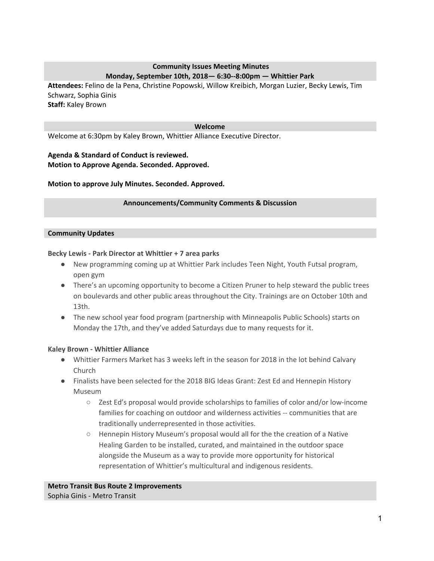## **Community Issues Meeting Minutes Monday, September 10th, 2018— 6:30--8:00pm — Whittier Park**

**Attendees:** Felino de la Pena, Christine Popowski, Willow Kreibich, Morgan Luzier, Becky Lewis, Tim Schwarz, Sophia Ginis **Staff:** Kaley Brown

#### **Welcome**

Welcome at 6:30pm by Kaley Brown, Whittier Alliance Executive Director.

**Agenda & Standard of Conduct is reviewed. Motion to Approve Agenda. Seconded. Approved.**

**Motion to approve July Minutes. Seconded. Approved.**

#### **Announcements/Community Comments & Discussion**

#### **Community Updates**

#### **Becky Lewis - Park Director at Whittier + 7 area parks**

- New programming coming up at Whittier Park includes Teen Night, Youth Futsal program, open gym
- There's an upcoming opportunity to become a Citizen Pruner to help steward the public trees on boulevards and other public areas throughout the City. Trainings are on October 10th and 13th.
- The new school year food program (partnership with Minneapolis Public Schools) starts on Monday the 17th, and they've added Saturdays due to many requests for it.

### **Kaley Brown - Whittier Alliance**

- Whittier Farmers Market has 3 weeks left in the season for 2018 in the lot behind Calvary Church
- Finalists have been selected for the 2018 BIG Ideas Grant: Zest Ed and Hennepin History Museum
	- $\circ$  Zest Ed's proposal would provide scholarships to families of color and/or low-income families for coaching on outdoor and wilderness activities -- communities that are traditionally underrepresented in those activities.
	- Hennepin History Museum's proposal would all for the the creation of a Native Healing Garden to be installed, curated, and maintained in the outdoor space alongside the Museum as a way to provide more opportunity for historical representation of Whittier's multicultural and indigenous residents.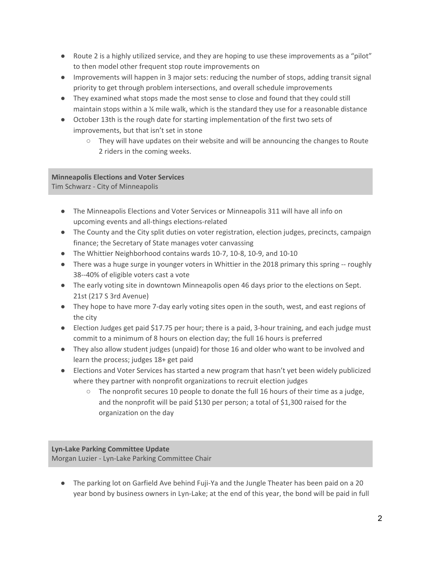- Route 2 is a highly utilized service, and they are hoping to use these improvements as a "pilot" to then model other frequent stop route improvements on
- Improvements will happen in 3 major sets: reducing the number of stops, adding transit signal priority to get through problem intersections, and overall schedule improvements
- They examined what stops made the most sense to close and found that they could still maintain stops within a ¼ mile walk, which is the standard they use for a reasonable distance
- October 13th is the rough date for starting implementation of the first two sets of improvements, but that isn't set in stone
	- $\circ$  They will have updates on their website and will be announcing the changes to Route 2 riders in the coming weeks.

### **Minneapolis Elections and Voter Services** Tim Schwarz - City of Minneapolis

- The Minneapolis Elections and Voter Services or Minneapolis 311 will have all info on upcoming events and all-things elections-related
- The County and the City split duties on voter registration, election judges, precincts, campaign finance; the Secretary of State manages voter canvassing
- The Whittier Neighborhood contains wards 10-7, 10-8, 10-9, and 10-10
- There was a huge surge in younger voters in Whittier in the 2018 primary this spring -- roughly 38--40% of eligible voters cast a vote
- The early voting site in downtown Minneapolis open 46 days prior to the elections on Sept. 21st (217 S 3rd Avenue)
- They hope to have more 7-day early voting sites open in the south, west, and east regions of the city
- Election Judges get paid \$17.75 per hour; there is a paid, 3-hour training, and each judge must commit to a minimum of 8 hours on election day; the full 16 hours is preferred
- They also allow student judges (unpaid) for those 16 and older who want to be involved and learn the process; judges 18+ get paid
- Elections and Voter Services has started a new program that hasn't yet been widely publicized where they partner with nonprofit organizations to recruit election judges
	- $\circ$  The nonprofit secures 10 people to donate the full 16 hours of their time as a judge, and the nonprofit will be paid \$130 per person; a total of \$1,300 raised for the organization on the day

# **Lyn-Lake Parking Committee Update**

Morgan Luzier - Lyn-Lake Parking Committee Chair

● The parking lot on Garfield Ave behind Fuji-Ya and the Jungle Theater has been paid on a 20 year bond by business owners in Lyn-Lake; at the end of this year, the bond will be paid in full